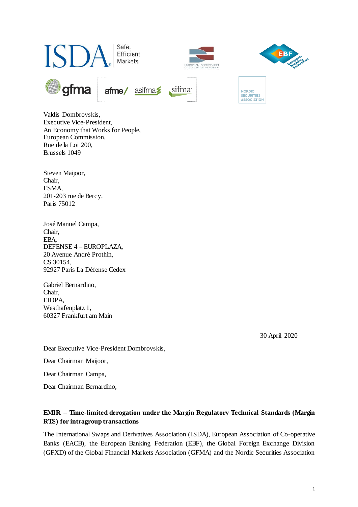

Valdis Dombrovskis, Executive Vice-President, An Economy that Works for People, European Commission, Rue de la Loi 200, Brussels 1049

Steven Maijoor, Chair, ESMA, 201-203 rue de Bercy, Paris 75012

José Manuel Campa, Chair, EBA, DEFENSE 4 – EUROPLAZA, 20 Avenue André Prothin, CS 30154, 92927 Paris La Défense Cedex

Gabriel Bernardino, Chair, EIOPA, Westhafenplatz 1, 60327 Frankfurt am Main

30 April 2020

Dear Executive Vice-President Dombrovskis,

Dear Chairman Maijoor,

Dear Chairman Campa,

Dear Chairman Bernardino,

# **EMIR – Time-limited derogation under the Margin Regulatory Technical Standards (Margin RTS) for intragroup transactions**

The International Swaps and Derivatives Association (ISDA), European Association of Co-operative Banks (EACB), the European Banking Federation (EBF), the Global Foreign Exchange Division (GFXD) of the Global Financial Markets Association (GFMA) and the Nordic Securities Association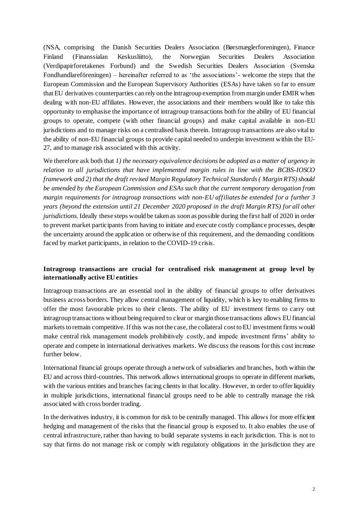(NSA, comprising the Danish Securities Dealers Association (Børsmæglerforeningen), Finance Finland (Finanssialan Keskusliitto), the Norwegian Securities Dealers Association (Verdipapirforetakenes Forbund) and the Swedish Securities Dealers Association (Svenska Fondhandlareföreningen) – hereinafter referred to as 'the associations'- welcome the steps that the European Commission and the European Supervisory Authorities (ESAs) have taken so far to ensure that EU derivatives counterparties can rely on the intragroup exemption from margin under EMIR when dealing with non-EU affiliates. However, the associations and their members would like to take this opportunity to emphasise the importance of intragroup transactions both for the ability of EU financial groups to operate, compete (with other financial groups) and make capital available in non-EU jurisdictions and to manage risks on a centralised basis therein. Intragroup transactions are also vital to the ability of non-EU financial groups to provide capital needed to underpin investment within the EU-27, and to manage risk associated with this activity.

We therefore ask both that *1) the necessary equivalence decisions be adopted as a matter of urgency in relation to all jurisdictions that have implemented margin rules in line with the BCBS-IOSCO framework and 2) that the draft revised Margin Regulatory Technical Standards ( Margin RTS) should be amended by the European Commission and ESAs such that the current temporary derogation from margin requirements for intragroup transactions with non-EU affiliates be extended for a further 3 years (beyond the extension until 21 December 2020 proposed in the draft Margin RTS) for all other jurisdictions.* Ideally these steps would be taken as soon as possible during the first half of 2020 in order to prevent market participants from having to initiate and execute costly compliance processes, despite the uncertainty around the application or otherwise of this requirement, and the demanding conditions faced by market participants, in relation to the COVID-19 crisis.

## **Intragroup transactions are crucial for centralised risk management at group level by internationally active EU entities**

Intragroup transactions are an essential tool in the ability of financial groups to offer derivatives business across borders. They allow central management of liquidity, which is key to enabling firms to offer the most favourable prices to their clients. The ability of EU investment firms to carry out intragroup transactions without being required to clear or margin those transactions allows EU financial markets to remain competitive. If this was not the case, the collateral cost to EU investment firms would make central risk management models prohibitively costly, and impede investment firms' ability to operate and compete in international derivatives markets. We discuss the reasons for this cost increase further below.

International financial groups operate through a network of subsidiaries and branches, both within the EU and across third-countries. This network allows international groups to operate in different markets, with the various entities and branches facing clients in that locality. However, in order to offer liquidity in multiple jurisdictions, international financial groups need to be able to centrally manage the risk associated with cross border trading.

In the derivatives industry, it is common for risk to be centrally managed. This allows for more efficient hedging and management of the risks that the financial group is exposed to. It also enables the use of central infrastructure, rather than having to build separate systems in each jurisdiction. This is not to say that firms do not manage risk or comply with regulatory obligations in the jurisdiction they are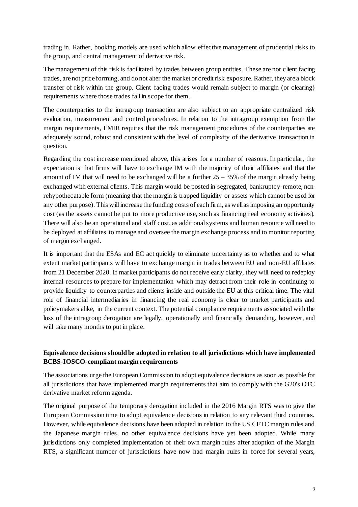trading in. Rather, booking models are used which allow effective management of prudential risks to the group, and central management of derivative risk.

The management of this risk is facilitated by trades between group entities. These are not client facing trades, are not price forming, and do not alter the market or credit risk exposure. Rather, they are a block transfer of risk within the group. Client facing trades would remain subject to margin (or clearing) requirements where those trades fall in scope for them.

The counterparties to the intragroup transaction are also subject to an appropriate centralized risk evaluation, measurement and control procedures. In relation to the intragroup exemption from the margin requirements, EMIR requires that the risk management procedures of the counterparties are adequately sound, robust and consistent with the level of complexity of the derivative transaction in question.

Regarding the cost increase mentioned above, this arises for a number of reasons. In particular, the expectation is that firms will have to exchange IM with the majority of their affiliates and that the amount of IM that will need to be exchanged will be a further  $25 - 35\%$  of the margin already being exchanged with external clients. This margin would be posted in segregated, bankruptcy-remote, nonrehypothecatable form (meaning that the margin is trapped liquidity or assets which cannot be used for any other purpose). This will increase the funding costs of each firm, as well as imposing an opportunity cost (as the assets cannot be put to more productive use, such as financing real economy activities). There will also be an operational and staff cost, as additional systems and human resource will need to be deployed at affiliates to manage and oversee the margin exchange process and to monitor reporting of margin exchanged.

It is important that the ESAs and EC act quickly to eliminate uncertainty as to whether and to what extent market participants will have to exchange margin in trades between EU and non-EU affiliates from 21 December 2020. If market participants do not receive early clarity, they will need to redeploy internal resources to prepare for implementation which may detract from their role in continuing to provide liquidity to counterparties and clients inside and outside the EU at this critical time. The vital role of financial intermediaries in financing the real economy is clear to market participants and policymakers alike, in the current context. The potential compliance requirements associated with the loss of the intragroup derogation are legally, operationally and financially demanding, however, and will take many months to put in place.

## **Equivalence decisions should be adopted in relation to all jurisdictions which have implemented BCBS-IOSCO-compliant margin requirements**

The associations urge the European Commission to adopt equivalence decisions as soon as possible for all jurisdictions that have implemented margin requirements that aim to comply with the G20's OTC derivative market reform agenda.

The original purpose of the temporary derogation included in the 2016 Margin RTS was to give the European Commission time to adopt equivalence decisions in relation to any relevant third countries. However, while equivalence decisions have been adopted in relation to the US CFTC margin rules and the Japanese margin rules, no other equivalence decisions have yet been adopted. While many jurisdictions only completed implementation of their own margin rules after adoption of the Margin RTS, a significant number of jurisdictions have now had margin rules in force for several years,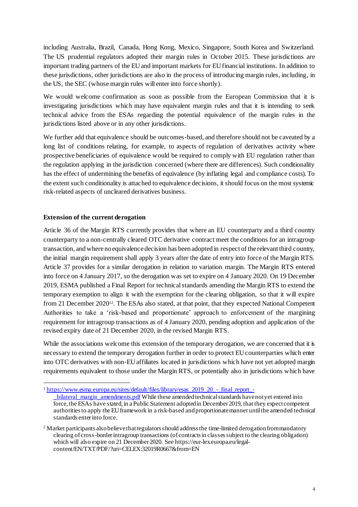including Australia, Brazil, Canada, Hong Kong, Mexico, Singapore, South Korea and Switzerland. The US prudential regulators adopted their margin rules in October 2015. These jurisdictions are important trading partners of the EU and important markets for EU financial institutions. In addition to these jurisdictions, other jurisdictions are also in the process of introducing margin rules, including, in the US, the SEC (whose margin rules will enter into force shortly).

We would welcome confirmation as soon as possible from the European Commission that it is investigating jurisdictions which may have equivalent margin rules and that it is intending to seek technical advice from the ESAs regarding the potential equivalence of the margin rules in the jurisdictions listed above or in any other jurisdictions.

We further add that equivalence should be outcomes-based, and therefore should not be caveated by a long list of conditions relating, for example, to aspects of regulation of derivatives activity where prospective beneficiaries of equivalence would be required to comply with EU regulation rather than the regulation applying in the jurisdiction concerned (where there are differences). Such conditionality has the effect of undermining the benefits of equivalence (by inflating legal and compliance costs). To the extent such conditionality is attached to equivalence decisions, it should focus on the most systemic risk-related aspects of uncleared derivatives business.

### **Extension of the current derogation**

Article 36 of the Margin RTS currently provides that where an EU counterparty and a third country counterparty to a non-centrally cleared OTC derivative contract meet the conditions for an intragroup transaction, and where no equivalence decision has been adopted in respect of the relevant third country, the initial margin requirement shall apply 3 years after the date of entry into force of the Margin RTS. Article 37 provides for a similar derogation in relation to variation margin. The Margin RTS entered into force on 4 January 2017, so the derogation was set to expire on 4 January 2020. On 19 December 2019, ESMA published a Final Report for technical standards amending the Margin RTS to extend the temporary exemption to align it with the exemption for the clearing obligation, so that it will expire from 21 December 2020<sup>12</sup>. The ESAs also stated, at that point, that they expected National Competent Authorities to take a 'risk-based and proportionate' approach to enforcement of the margining requirement for intragroup transactions as of 4 January 2020, pending adoption and application of the revised expiry date of 21 December 2020, in the revised Margin RTS.

While the associations welcome this extension of the temporary derogation, we are concerned that it is necessary to extend the temporary derogation further in order to protect EU counterparties which enter into OTC derivatives with non-EU affiliates located in jurisdictions which have not yet adopted margin requirements equivalent to those under the Margin RTS, or potentially also in jurisdictions which have

 $\overline{a}$ <sup>1</sup> [https://www.esma.europa.eu/sites/default/files/library/esas\\_2019\\_20\\_-\\_final\\_report\\_](https://www.esma.europa.eu/sites/default/files/library/esas_2019_20_-_final_report_-_bilateral_margin_amendments.pdf) bilateral\_margin\_amendments.pdf While these amended technical standards have not yet entered into force, the ESAs have stated, in a Public Statement adopted in December 2019, that they expect competent authorities to apply the EU framework in a risk-based and proportionate manner until the amended technical standards enter into force.

<sup>&</sup>lt;sup>2</sup> Market participants also believe that regulators should address the time-limited derogation from mandatory clearing of cross-border intragroup transactions (of contracts in classes subject to the clearing obligation) which will also expire on 21 December 2020. See https://eur-lex.europa.eu/legalcontent/EN/TXT/PDF/?uri=CELEX:32019R0667&from=EN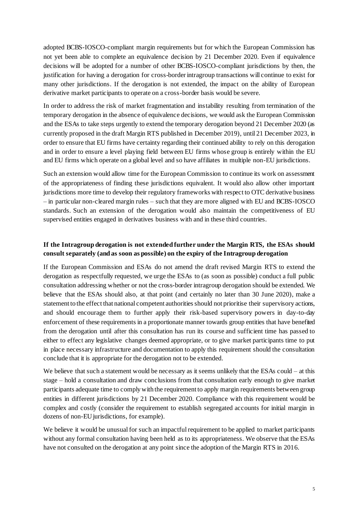adopted BCBS-IOSCO-compliant margin requirements but for which the European Commission has not yet been able to complete an equivalence decision by 21 December 2020. Even if equivalence decisions will be adopted for a number of other BCBS-IOSCO-compliant jurisdictions by then, the justification for having a derogation for cross-border intragroup transactions will continue to exist for many other jurisdictions. If the derogation is not extended, the impact on the ability of European derivative market participants to operate on a cross-border basis would be severe.

In order to address the risk of market fragmentation and instability resulting from termination of the temporary derogation in the absence of equivalence decisions, we would ask the European Commission and the ESAs to take steps urgently to extend the temporary derogation beyond 21 December 2020 (as currently proposed in the draft Margin RTS published in December 2019), until 21 December 2023, in order to ensure that EU firms have certainty regarding their continued ability to rely on this derogation and in order to ensure a level playing field between EU firms whose group is entirely within the EU and EU firms which operate on a global level and so have affiliates in multiple non-EU jurisdictions.

Such an extension would allow time for the European Commission to continue its work on assessment of the appropriateness of finding these jurisdictions equivalent. It would also allow other important jurisdictions more time to develop their regulatory frameworks with respect to OTC derivative business – in particular non-cleared margin rules – such that they are more aligned with EU and BCBS-IOSCO standards. Such an extension of the derogation would also maintain the competitiveness of EU supervised entities engaged in derivatives business with and in these third countries.

## **If the Intragroup derogation is not extended further under the Margin RTS, the ESAs should consult separately (and as soon as possible) on the expiry of the Intragroup derogation**

If the European Commission and ESAs do not amend the draft revised Margin RTS to extend the derogation as respectfully requested, we urge the ESAs to (as soon as possible) conduct a full public consultation addressing whether or not the cross-border intragroup derogation should be extended. We believe that the ESAs should also, at that point (and certainly no later than 30 June 2020), make a statement to the effect that national competent authorities should not prioritise their supervisory actions, and should encourage them to further apply their risk-based supervisory powers in day-to-day enforcement of these requirements in a proportionate manner towards group entities that have benefited from the derogation until after this consultation has run its course and sufficient time has passed to either to effect any legislative changes deemed appropriate, or to give market participants time to put in place necessary infrastructure and documentation to apply this requirement should the consultation conclude that it is appropriate for the derogation not to be extended.

We believe that such a statement would be necessary as it seems unlikely that the ESAs could – at this stage – hold a consultation and draw conclusions from that consultation early enough to give market participants adequate time to comply with the requirement to apply margin requirements between group entities in different jurisdictions by 21 December 2020. Compliance with this requirement would be complex and costly (consider the requirement to establish segregated accounts for initial margin in dozens of non-EU jurisdictions, for example).

We believe it would be unusual for such an impactful requirement to be applied to market participants without any formal consultation having been held as to its appropriateness. We observe that the ESAs have not consulted on the derogation at any point since the adoption of the Margin RTS in 2016.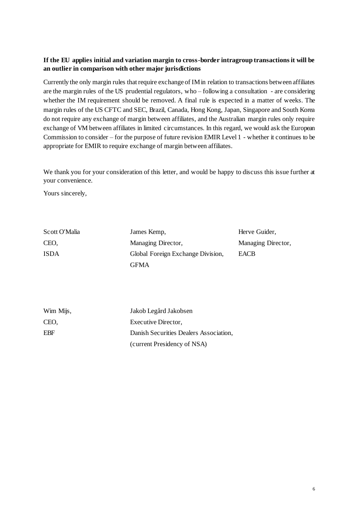## **If the EU applies initial and variation margin to cross-border intragroup transactions it will be an outlier in comparison with other major jurisdictions**

Currently the only margin rules that require exchange of IMin relation to transactions between affiliates are the margin rules of the US prudential regulators, who – following a consultation - are considering whether the IM requirement should be removed. A final rule is expected in a matter of weeks. The margin rules of the US CFTC and SEC, Brazil, Canada, Hong Kong, Japan, Singapore and South Korea do not require any exchange of margin between affiliates, and the Australian margin rules only require exchange of VM between affiliates in limited circumstances. In this regard, we would ask the European Commission to consider – for the purpose of future revision EMIR Level 1 - whether it continues to be appropriate for EMIR to require exchange of margin between affiliates.

We thank you for your consideration of this letter, and would be happy to discuss this issue further at your convenience.

Yours sincerely,

| Scott O'Malia | James Kemp,                       | Herve Guider,      |
|---------------|-----------------------------------|--------------------|
| CEO,          | Managing Director,                | Managing Director, |
| <b>ISDA</b>   | Global Foreign Exchange Division, | <b>EACB</b>        |
|               | <b>GFMA</b>                       |                    |
|               |                                   |                    |

| Wim Mijs, | Jakob Legård Jakobsen                  |
|-----------|----------------------------------------|
| CEO,      | Executive Director,                    |
| EBF       | Danish Securities Dealers Association, |
|           | (current Presidency of NSA)            |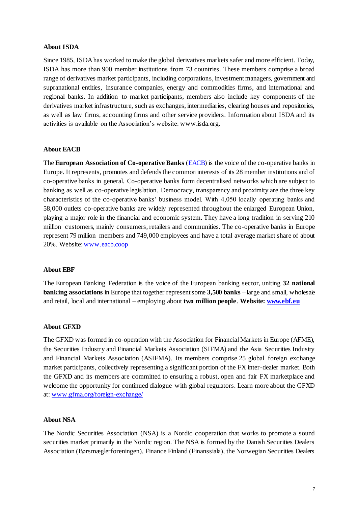#### **About ISDA**

Since 1985, ISDA has worked to make the global derivatives markets safer and more efficient. Today, ISDA has more than 900 member institutions from 73 countries. These members comprise a broad range of derivatives market participants, including corporations, investment managers, government and supranational entities, insurance companies, energy and commodities firms, and international and regional banks. In addition to market participants, members also include key components of the derivatives market infrastructure, such as exchanges, intermediaries, clearing houses and repositories, as well as law firms, accounting firms and other service providers. Information about ISDA and its activities is available on the Association's website[: www.isda.org](http://www.isda.org/).

### **About EACB**

The **European Association of Co-operative Banks** [\(EACB\)](http://www.eacb.coop/en/home.html) is the voice of the co-operative banks in Europe. It represents, promotes and defends the common interests of its 28 member institutions and of co-operative banks in general. Co-operative banks form decentralised networks which are subject to banking as well as co-operative legislation. Democracy, transparency and proximity are the three key characteristics of the co-operative banks' business model. With 4,050 locally operating banks and 58,000 outlets co-operative banks are widely represented throughout the enlarged European Union, playing a major role in the financial and economic system. They have a long tradition in serving 210 million customers, mainly consumers, retailers and communities. The co-operative banks in Europe represent 79 million members and 749,000 employees and have a total average market share of about 20%. Website[: www.eacb.coop](http://www.eacb.coop/)

#### **About EBF**

The European Banking Federation is the voice of the European banking sector, uniting **32 national banking associations** in Europe that together represent some **3,500 banks** – large and small, wholesale and retail, local and international – employing about **two million people**. **Website[: www.ebf.eu](http://www.ebf.eu/)**

#### **About GFXD**

The GFXD was formed in co-operation with the Association for Financial Markets in Europe (AFME), the Securities Industry and Financial Markets Association (SIFMA) and the Asia Securities Industry and Financial Markets Association (ASIFMA). Its members comprise 25 global foreign exchange market participants, collectively representing a significant portion of the FX inter-dealer market. Both the GFXD and its members are committed to ensuring a robust, open and fair FX marketplace and welcome the opportunity for continued dialogue with global regulators. Learn more about the GFXD at[: www.gfma.org/foreign-exchange/](http://www.gfma.org/foreign-exchange/)

#### **About NSA**

The Nordic Securities Association (NSA) is a Nordic cooperation that works to promote a sound securities market primarily in the Nordic region. The NSA is formed by the Danish Securities Dealers Association (Børsmæglerforeningen), Finance Finland (Finanssiala), the Norwegian Securities Dealers